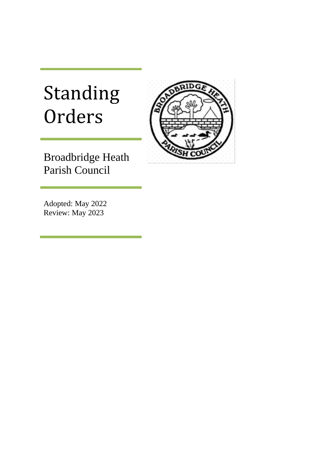## Standing Orders



Broadbridge Heath Parish Council

Adopted: May 2022 Review: May 2023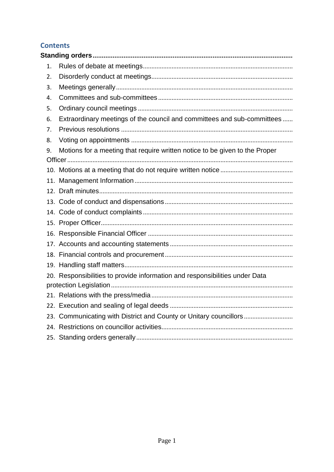#### **Contents**

| 1. |                                                                             |
|----|-----------------------------------------------------------------------------|
| 2. |                                                                             |
| 3. |                                                                             |
| 4. |                                                                             |
| 5. |                                                                             |
| 6. | Extraordinary meetings of the council and committees and sub-committees     |
| 7. |                                                                             |
| 8. |                                                                             |
| 9. | Motions for a meeting that require written notice to be given to the Proper |
|    |                                                                             |
|    |                                                                             |
|    |                                                                             |
|    |                                                                             |
|    |                                                                             |
|    |                                                                             |
|    |                                                                             |
|    |                                                                             |
|    |                                                                             |
|    |                                                                             |
|    |                                                                             |
|    | 20. Responsibilities to provide information and responsibilities under Data |
|    |                                                                             |
|    |                                                                             |
|    |                                                                             |
|    | 23. Communicating with District and County or Unitary councillors           |
|    |                                                                             |
|    |                                                                             |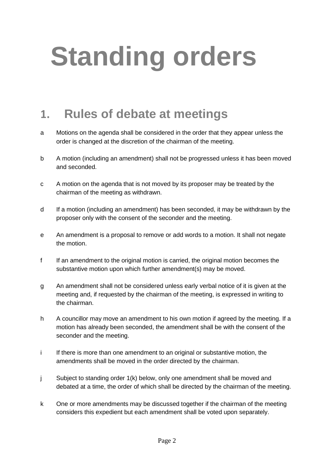# <span id="page-2-0"></span>**Standing orders**

#### <span id="page-2-1"></span>**1. Rules of debate at meetings**

- a Motions on the agenda shall be considered in the order that they appear unless the order is changed at the discretion of the chairman of the meeting.
- b A motion (including an amendment) shall not be progressed unless it has been moved and seconded.
- c A motion on the agenda that is not moved by its proposer may be treated by the chairman of the meeting as withdrawn.
- d If a motion (including an amendment) has been seconded, it may be withdrawn by the proposer only with the consent of the seconder and the meeting.
- e An amendment is a proposal to remove or add words to a motion. It shall not negate the motion.
- f If an amendment to the original motion is carried, the original motion becomes the substantive motion upon which further amendment(s) may be moved.
- g An amendment shall not be considered unless early verbal notice of it is given at the meeting and, if requested by the chairman of the meeting, is expressed in writing to the chairman.
- h A councillor may move an amendment to his own motion if agreed by the meeting. If a motion has already been seconded, the amendment shall be with the consent of the seconder and the meeting.
- i If there is more than one amendment to an original or substantive motion, the amendments shall be moved in the order directed by the chairman.
- j Subject to standing order 1(k) below, only one amendment shall be moved and debated at a time, the order of which shall be directed by the chairman of the meeting.
- k One or more amendments may be discussed together if the chairman of the meeting considers this expedient but each amendment shall be voted upon separately.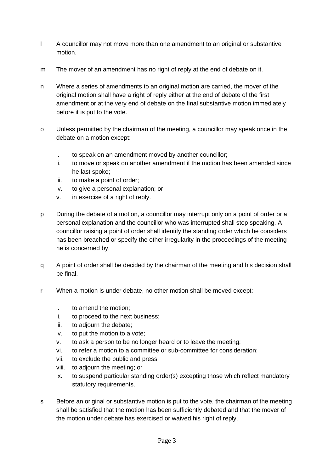- l A councillor may not move more than one amendment to an original or substantive motion.
- m The mover of an amendment has no right of reply at the end of debate on it.
- n Where a series of amendments to an original motion are carried, the mover of the original motion shall have a right of reply either at the end of debate of the first amendment or at the very end of debate on the final substantive motion immediately before it is put to the vote.
- o Unless permitted by the chairman of the meeting, a councillor may speak once in the debate on a motion except:
	- i. to speak on an amendment moved by another councillor;
	- ii. to move or speak on another amendment if the motion has been amended since he last spoke;
	- iii. to make a point of order;
	- iv. to give a personal explanation; or
	- v. in exercise of a right of reply.
- p During the debate of a motion, a councillor may interrupt only on a point of order or a personal explanation and the councillor who was interrupted shall stop speaking. A councillor raising a point of order shall identify the standing order which he considers has been breached or specify the other irregularity in the proceedings of the meeting he is concerned by.
- q A point of order shall be decided by the chairman of the meeting and his decision shall be final.
- r When a motion is under debate, no other motion shall be moved except:
	- i. to amend the motion;
	- ii. to proceed to the next business;
	- iii. to adjourn the debate;
	- iv. to put the motion to a vote;
	- v. to ask a person to be no longer heard or to leave the meeting;
	- vi. to refer a motion to a committee or sub-committee for consideration;
	- vii. to exclude the public and press;
	- viii. to adjourn the meeting; or
	- ix. to suspend particular standing order(s) excepting those which reflect mandatory statutory requirements.
- s Before an original or substantive motion is put to the vote, the chairman of the meeting shall be satisfied that the motion has been sufficiently debated and that the mover of the motion under debate has exercised or waived his right of reply.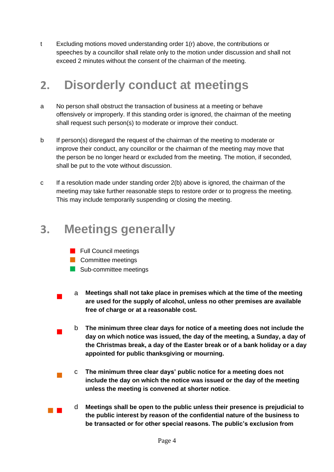t Excluding motions moved understanding order 1(r) above, the contributions or speeches by a councillor shall relate only to the motion under discussion and shall not exceed 2 minutes without the consent of the chairman of the meeting.

#### <span id="page-4-0"></span>**2. Disorderly conduct at meetings**

- a No person shall obstruct the transaction of business at a meeting or behave offensively or improperly. If this standing order is ignored, the chairman of the meeting shall request such person(s) to moderate or improve their conduct.
- b If person(s) disregard the request of the chairman of the meeting to moderate or improve their conduct, any councillor or the chairman of the meeting may move that the person be no longer heard or excluded from the meeting. The motion, if seconded, shall be put to the vote without discussion.
- c If a resolution made under standing order 2(b) above is ignored, the chairman of the meeting may take further reasonable steps to restore order or to progress the meeting. This may include temporarily suspending or closing the meeting.

#### <span id="page-4-1"></span>**3. Meetings generally**

- **Full Council meetings**
- **Committee meetings**
- Sub-committee meetings
- <sup>a</sup> **Meetings shall not take place in premises which at the time of the meeting are used for the supply of alcohol, unless no other premises are available free of charge or at a reasonable cost.**
- <sup>b</sup> **The minimum three clear days for notice of a meeting does not include the day on which notice was issued, the day of the meeting, a Sunday, a day of the Christmas break, a day of the Easter break or of a bank holiday or a day appointed for public thanksgiving or mourning.**
- <sup>c</sup> **The minimum three clear days' public notice for a meeting does not include the day on which the notice was issued or the day of the meeting unless the meeting is convened at shorter notice**.
- <sup>d</sup> **Meetings shall be open to the public unless their presence is prejudicial to the public interest by reason of the confidential nature of the business to be transacted or for other special reasons. The public's exclusion from**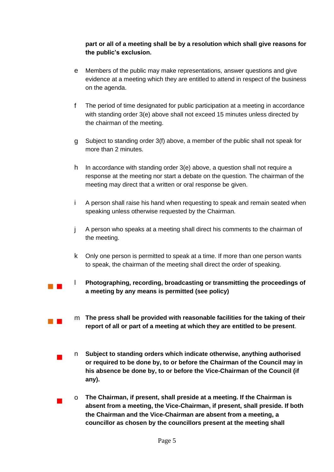#### **part or all of a meeting shall be by a resolution which shall give reasons for the public's exclusion.**

- e Members of the public may make representations, answer questions and give evidence at a meeting which they are entitled to attend in respect of the business on the agenda.
- f The period of time designated for public participation at a meeting in accordance with standing order 3(e) above shall not exceed 15 minutes unless directed by the chairman of the meeting.
- g Subject to standing order 3(f) above, a member of the public shall not speak for more than 2 minutes.
- h In accordance with standing order 3(e) above, a question shall not require a response at the meeting nor start a debate on the question. The chairman of the meeting may direct that a written or oral response be given.
- i A person shall raise his hand when requesting to speak and remain seated when speaking unless otherwise requested by the Chairman.
- j A person who speaks at a meeting shall direct his comments to the chairman of the meeting.
- k Only one person is permitted to speak at a time. If more than one person wants to speak, the chairman of the meeting shall direct the order of speaking.
- <sup>l</sup> **Photographing, recording, broadcasting or transmitting the proceedings of a meeting by any means is permitted (see policy)**
- **The press shall be provided with reasonable facilities for the taking of their report of all or part of a meeting at which they are entitled to be present**.
	- <sup>n</sup> **Subject to standing orders which indicate otherwise, anything authorised or required to be done by, to or before the Chairman of the Council may in his absence be done by, to or before the Vice-Chairman of the Council (if any).**
	- <sup>o</sup> **The Chairman, if present, shall preside at a meeting. If the Chairman is absent from a meeting, the Vice-Chairman, if present, shall preside. If both the Chairman and the Vice-Chairman are absent from a meeting, a councillor as chosen by the councillors present at the meeting shall**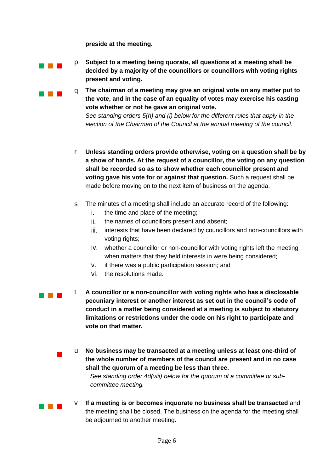**preside at the meeting.**



**p Subject to a meeting being quorate, all questions at a meeting shall be decided by a majority of the councillors or councillors with voting rights present and voting.**

**q** The chairman of a meeting may give an original vote on any matter put to **the vote, and in the case of an equality of votes may exercise his casting vote whether or not he gave an original vote.**

> *See standing orders 5(h) and (i) below for the different rules that apply in the election of the Chairman of the Council at the annual meeting of the council.*

- r **Unless standing orders provide otherwise, voting on a question shall be by a show of hands. At the request of a councillor, the voting on any question shall be recorded so as to show whether each councillor present and voting gave his vote for or against that question.** Such a request shall be made before moving on to the next item of business on the agenda.
- s The minutes of a meeting shall include an accurate record of the following:
	- i. the time and place of the meeting;
	- ii. the names of councillors present and absent;
	- iii. interests that have been declared by councillors and non-councillors with voting rights;
	- iv. whether a councillor or non-councillor with voting rights left the meeting when matters that they held interests in were being considered;
	- v. if there was a public participation session; and
	- vi. the resolutions made.
- <sup>t</sup> **A councillor or a non-councillor with voting rights who has a disclosable pecuniary interest or another interest as set out in the council's code of conduct in a matter being considered at a meeting is subject to statutory limitations or restrictions under the code on his right to participate and vote on that matter.**
	- <sup>u</sup> **No business may be transacted at a meeting unless at least one-third of the whole number of members of the council are present and in no case shall the quorum of a meeting be less than three.**

*See standing order 4d(viii) below for the quorum of a committee or subcommittee meeting.* 

 <sup>v</sup> **If a meeting is or becomes inquorate no business shall be transacted** and the meeting shall be closed. The business on the agenda for the meeting shall be adjourned to another meeting.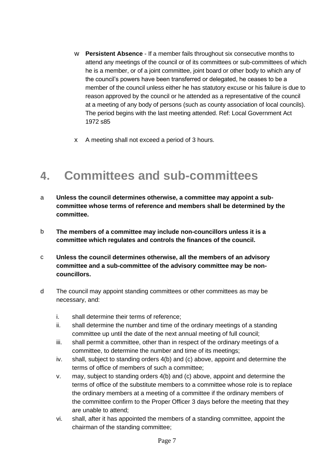- w **Persistent Absence** If a member fails throughout six consecutive months to attend any meetings of the council or of its committees or sub-committees of which he is a member, or of a joint committee, joint board or other body to which any of the council's powers have been transferred or delegated, he ceases to be a member of the council unless either he has statutory excuse or his failure is due to reason approved by the council or he attended as a representative of the council at a meeting of any body of persons (such as county association of local councils). The period begins with the last meeting attended. Ref: Local Government Act 1972 s85
- x A meeting shall not exceed a period of 3 hours.

#### <span id="page-7-0"></span>**4. Committees and sub-committees**

- a **Unless the council determines otherwise, a committee may appoint a subcommittee whose terms of reference and members shall be determined by the committee.**
- b **The members of a committee may include non-councillors unless it is a committee which regulates and controls the finances of the council.**
- c **Unless the council determines otherwise, all the members of an advisory committee and a sub-committee of the advisory committee may be noncouncillors.**
- d The council may appoint standing committees or other committees as may be necessary, and:
	- i. shall determine their terms of reference;
	- ii. shall determine the number and time of the ordinary meetings of a standing committee up until the date of the next annual meeting of full council;
	- iii. shall permit a committee, other than in respect of the ordinary meetings of a committee, to determine the number and time of its meetings;
	- iv. shall, subject to standing orders 4(b) and (c) above, appoint and determine the terms of office of members of such a committee;
	- v. may, subject to standing orders 4(b) and (c) above, appoint and determine the terms of office of the substitute members to a committee whose role is to replace the ordinary members at a meeting of a committee if the ordinary members of the committee confirm to the Proper Officer 3 days before the meeting that they are unable to attend;
	- vi. shall, after it has appointed the members of a standing committee, appoint the chairman of the standing committee;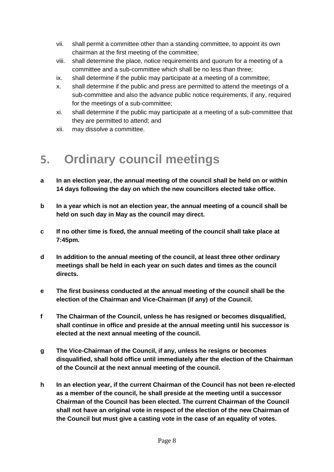- vii. shall permit a committee other than a standing committee, to appoint its own chairman at the first meeting of the committee;
- viii. shall determine the place, notice requirements and quorum for a meeting of a committee and a sub-committee which shall be no less than three;
- ix. shall determine if the public may participate at a meeting of a committee;
- x. shall determine if the public and press are permitted to attend the meetings of a sub-committee and also the advance public notice requirements, if any, required for the meetings of a sub-committee;
- xi. shall determine if the public may participate at a meeting of a sub-committee that they are permitted to attend; and
- xii. may dissolve a committee.

#### <span id="page-8-0"></span>**5. Ordinary council meetings**

- **a In an election year, the annual meeting of the council shall be held on or within 14 days following the day on which the new councillors elected take office.**
- **b In a year which is not an election year, the annual meeting of a council shall be held on such day in May as the council may direct.**
- **c If no other time is fixed, the annual meeting of the council shall take place at 7:45pm.**
- **d In addition to the annual meeting of the council, at least three other ordinary meetings shall be held in each year on such dates and times as the council directs.**
- **e The first business conducted at the annual meeting of the council shall be the election of the Chairman and Vice-Chairman (if any) of the Council.**
- **f The Chairman of the Council, unless he has resigned or becomes disqualified, shall continue in office and preside at the annual meeting until his successor is elected at the next annual meeting of the council.**
- **g The Vice-Chairman of the Council, if any, unless he resigns or becomes disqualified, shall hold office until immediately after the election of the Chairman of the Council at the next annual meeting of the council.**
- **h In an election year, if the current Chairman of the Council has not been re-elected as a member of the council, he shall preside at the meeting until a successor Chairman of the Council has been elected. The current Chairman of the Council shall not have an original vote in respect of the election of the new Chairman of the Council but must give a casting vote in the case of an equality of votes.**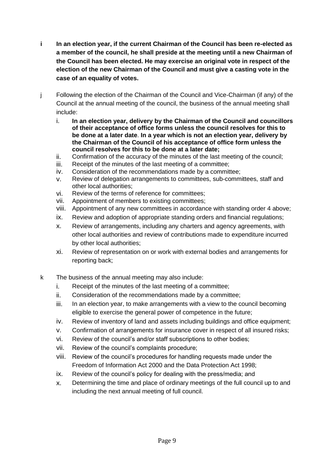- **i In an election year, if the current Chairman of the Council has been re-elected as a member of the council, he shall preside at the meeting until a new Chairman of the Council has been elected. He may exercise an original vote in respect of the election of the new Chairman of the Council and must give a casting vote in the case of an equality of votes.**
- j Following the election of the Chairman of the Council and Vice-Chairman (if any) of the Council at the annual meeting of the council, the business of the annual meeting shall include:
	- i. **In an election year, delivery by the Chairman of the Council and councillors of their acceptance of office forms unless the council resolves for this to be done at a later date**. **In a year which is not an election year, delivery by the Chairman of the Council of his acceptance of office form unless the council resolves for this to be done at a later date;**
	- ii. Confirmation of the accuracy of the minutes of the last meeting of the council;
	- iii. Receipt of the minutes of the last meeting of a committee;
	- iv. Consideration of the recommendations made by a committee;
	- v. Review of delegation arrangements to committees, sub-committees, staff and other local authorities;
	- vi. Review of the terms of reference for committees;
	- vii. Appointment of members to existing committees;
	- viii. Appointment of any new committees in accordance with standing order 4 above;
	- ix. Review and adoption of appropriate standing orders and financial regulations;
	- x. Review of arrangements, including any charters and agency agreements, with other local authorities and review of contributions made to expenditure incurred by other local authorities;
	- xi. Review of representation on or work with external bodies and arrangements for reporting back;
- k The business of the annual meeting may also include:
	- i. Receipt of the minutes of the last meeting of a committee;
	- ii. Consideration of the recommendations made by a committee;
	- iii. In an election year, to make arrangements with a view to the council becoming eligible to exercise the general power of competence in the future;
	- iv. Review of inventory of land and assets including buildings and office equipment;
	- v. Confirmation of arrangements for insurance cover in respect of all insured risks;
	- vi. Review of the council's and/or staff subscriptions to other bodies;
	- vii. Review of the council's complaints procedure;
	- viii. Review of the council's procedures for handling requests made under the Freedom of Information Act 2000 and the Data Protection Act 1998;
	- ix. Review of the council's policy for dealing with the press/media; and
	- x. Determining the time and place of ordinary meetings of the full council up to and including the next annual meeting of full council.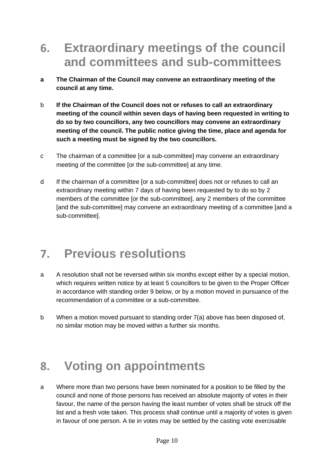#### <span id="page-10-0"></span>**6. Extraordinary meetings of the council and committees and sub-committees**

- **a The Chairman of the Council may convene an extraordinary meeting of the council at any time.**
- b **If the Chairman of the Council does not or refuses to call an extraordinary meeting of the council within seven days of having been requested in writing to do so by two councillors, any two councillors may convene an extraordinary meeting of the council. The public notice giving the time, place and agenda for such a meeting must be signed by the two councillors.**
- c The chairman of a committee [or a sub-committee] may convene an extraordinary meeting of the committee [or the sub-committee] at any time.
- d If the chairman of a committee [or a sub-committee] does not or refuses to call an extraordinary meeting within 7 days of having been requested by to do so by 2 members of the committee [or the sub-committee], any 2 members of the committee [and the sub-committee] may convene an extraordinary meeting of a committee [and a sub-committee].

### <span id="page-10-1"></span>**7. Previous resolutions**

- a A resolution shall not be reversed within six months except either by a special motion, which requires written notice by at least 5 councillors to be given to the Proper Officer in accordance with standing order 9 below, or by a motion moved in pursuance of the recommendation of a committee or a sub-committee.
- b When a motion moved pursuant to standing order 7(a) above has been disposed of, no similar motion may be moved within a further six months.

#### <span id="page-10-2"></span>**8. Voting on appointments**

a Where more than two persons have been nominated for a position to be filled by the council and none of those persons has received an absolute majority of votes in their favour, the name of the person having the least number of votes shall be struck off the list and a fresh vote taken. This process shall continue until a majority of votes is given in favour of one person. A tie in votes may be settled by the casting vote exercisable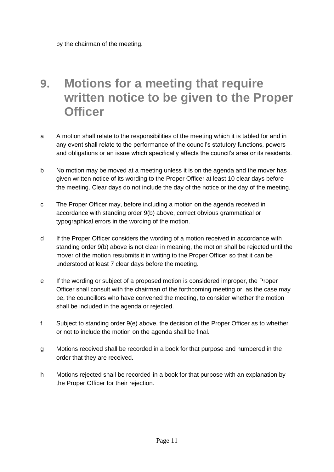#### <span id="page-11-0"></span>**9. Motions for a meeting that require written notice to be given to the Proper Officer**

- a A motion shall relate to the responsibilities of the meeting which it is tabled for and in any event shall relate to the performance of the council's statutory functions, powers and obligations or an issue which specifically affects the council's area or its residents.
- b No motion may be moved at a meeting unless it is on the agenda and the mover has given written notice of its wording to the Proper Officer at least 10 clear days before the meeting. Clear days do not include the day of the notice or the day of the meeting.
- c The Proper Officer may, before including a motion on the agenda received in accordance with standing order 9(b) above, correct obvious grammatical or typographical errors in the wording of the motion.
- d If the Proper Officer considers the wording of a motion received in accordance with standing order 9(b) above is not clear in meaning, the motion shall be rejected until the mover of the motion resubmits it in writing to the Proper Officer so that it can be understood at least 7 clear days before the meeting.
- e If the wording or subject of a proposed motion is considered improper, the Proper Officer shall consult with the chairman of the forthcoming meeting or, as the case may be, the councillors who have convened the meeting, to consider whether the motion shall be included in the agenda or rejected.
- f Subject to standing order 9(e) above, the decision of the Proper Officer as to whether or not to include the motion on the agenda shall be final.
- g Motions received shall be recorded in a book for that purpose and numbered in the order that they are received.
- h Motions rejected shall be recorded in a book for that purpose with an explanation by the Proper Officer for their rejection.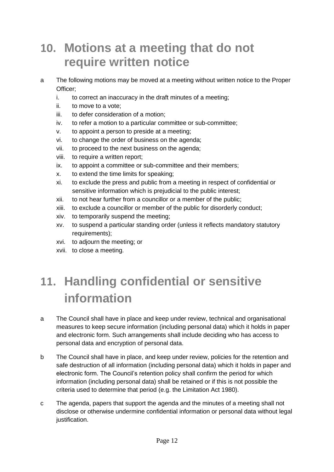#### <span id="page-12-0"></span>**10. Motions at a meeting that do not require written notice**

- a The following motions may be moved at a meeting without written notice to the Proper Officer;
	- i. to correct an inaccuracy in the draft minutes of a meeting;
	- ii. to move to a vote;
	- iii. to defer consideration of a motion;
	- iv. to refer a motion to a particular committee or sub-committee;
	- v. to appoint a person to preside at a meeting;
	- vi. to change the order of business on the agenda;
	- vii. to proceed to the next business on the agenda;
	- viii. to require a written report;
	- ix. to appoint a committee or sub-committee and their members;
	- x. to extend the time limits for speaking;
	- xi. to exclude the press and public from a meeting in respect of confidential or sensitive information which is prejudicial to the public interest;
	- xii. to not hear further from a councillor or a member of the public;
	- xiii. to exclude a councillor or member of the public for disorderly conduct;
	- xiv. to temporarily suspend the meeting;
	- xv. to suspend a particular standing order (unless it reflects mandatory statutory requirements);
	- xvi. to adjourn the meeting; or
	- xvii. to close a meeting.

### <span id="page-12-1"></span>**11. Handling confidential or sensitive information**

- a The Council shall have in place and keep under review, technical and organisational measures to keep secure information (including personal data) which it holds in paper and electronic form. Such arrangements shall include deciding who has access to personal data and encryption of personal data.
- b The Council shall have in place, and keep under review, policies for the retention and safe destruction of all information (including personal data) which it holds in paper and electronic form. The Council's retention policy shall confirm the period for which information (including personal data) shall be retained or if this is not possible the criteria used to determine that period (e.g. the Limitation Act 1980).
- c The agenda, papers that support the agenda and the minutes of a meeting shall not disclose or otherwise undermine confidential information or personal data without legal justification.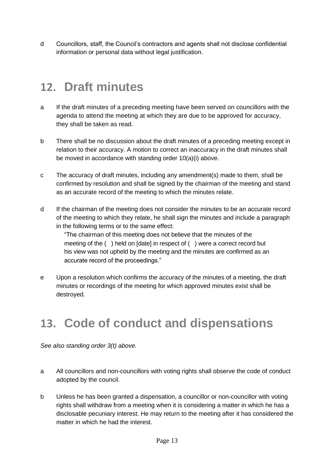d Councillors, staff, the Council's contractors and agents shall not disclose confidential information or personal data without legal justification.

#### <span id="page-13-0"></span>**12. Draft minutes**

- a If the draft minutes of a preceding meeting have been served on councillors with the agenda to attend the meeting at which they are due to be approved for accuracy, they shall be taken as read.
- b There shall be no discussion about the draft minutes of a preceding meeting except in relation to their accuracy. A motion to correct an inaccuracy in the draft minutes shall be moved in accordance with standing order 10(a)(i) above.
- c The accuracy of draft minutes, including any amendment(s) made to them, shall be confirmed by resolution and shall be signed by the chairman of the meeting and stand as an accurate record of the meeting to which the minutes relate.
- d If the chairman of the meeting does not consider the minutes to be an accurate record of the meeting to which they relate, he shall sign the minutes and include a paragraph in the following terms or to the same effect:

"The chairman of this meeting does not believe that the minutes of the meeting of the ( ) held on [date] in respect of ( ) were a correct record but his view was not upheld by the meeting and the minutes are confirmed as an accurate record of the proceedings."

e Upon a resolution which confirms the accuracy of the minutes of a meeting, the draft minutes or recordings of the meeting for which approved minutes exist shall be destroyed.

### <span id="page-13-1"></span>**13. Code of conduct and dispensations**

*See also standing order 3(t) above.* 

- a All councillors and non-councillors with voting rights shall observe the code of conduct adopted by the council.
- b Unless he has been granted a dispensation, a councillor or non-councillor with voting rights shall withdraw from a meeting when it is considering a matter in which he has a disclosable pecuniary interest. He may return to the meeting after it has considered the matter in which he had the interest.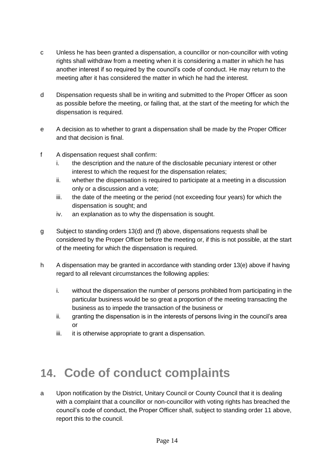- c Unless he has been granted a dispensation, a councillor or non-councillor with voting rights shall withdraw from a meeting when it is considering a matter in which he has another interest if so required by the council's code of conduct. He may return to the meeting after it has considered the matter in which he had the interest.
- d Dispensation requests shall be in writing and submitted to the Proper Officer as soon as possible before the meeting, or failing that, at the start of the meeting for which the dispensation is required.
- e A decision as to whether to grant a dispensation shall be made by the Proper Officer and that decision is final.
- f A dispensation request shall confirm:
	- i. the description and the nature of the disclosable pecuniary interest or other interest to which the request for the dispensation relates;
	- ii. whether the dispensation is required to participate at a meeting in a discussion only or a discussion and a vote;
	- iii. the date of the meeting or the period (not exceeding four years) for which the dispensation is sought; and
	- iv. an explanation as to why the dispensation is sought.
- g Subject to standing orders 13(d) and (f) above, dispensations requests shall be considered by the Proper Officer before the meeting or, if this is not possible, at the start of the meeting for which the dispensation is required.
- h A dispensation may be granted in accordance with standing order 13(e) above if having regard to all relevant circumstances the following applies:
	- i. without the dispensation the number of persons prohibited from participating in the particular business would be so great a proportion of the meeting transacting the business as to impede the transaction of the business or
	- ii. granting the dispensation is in the interests of persons living in the council's area or
	- iii. it is otherwise appropriate to grant a dispensation.

### <span id="page-14-0"></span>**14. Code of conduct complaints**

a Upon notification by the District, Unitary Council or County Council that it is dealing with a complaint that a councillor or non-councillor with voting rights has breached the council's code of conduct, the Proper Officer shall, subject to standing order 11 above, report this to the council.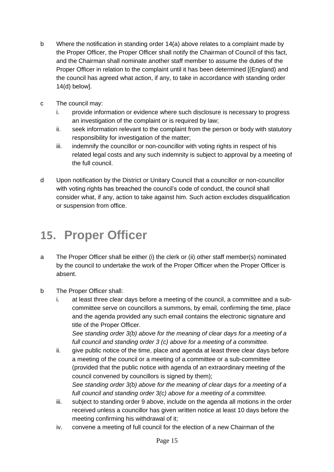- b Where the notification in standing order 14(a) above relates to a complaint made by the Proper Officer, the Proper Officer shall notify the Chairman of Council of this fact, and the Chairman shall nominate another staff member to assume the duties of the Proper Officer in relation to the complaint until it has been determined [(England) and the council has agreed what action, if any, to take in accordance with standing order 14(d) below].
- c The council may:
	- i. provide information or evidence where such disclosure is necessary to progress an investigation of the complaint or is required by law;
	- ii. seek information relevant to the complaint from the person or body with statutory responsibility for investigation of the matter;
	- iii. indemnify the councillor or non-councillor with voting rights in respect of his related legal costs and any such indemnity is subject to approval by a meeting of the full council.
- d Upon notification by the District or Unitary Council that a councillor or non-councillor with voting rights has breached the council's code of conduct, the council shall consider what, if any, action to take against him. Such action excludes disqualification or suspension from office.

### <span id="page-15-0"></span>**15. Proper Officer**

- a The Proper Officer shall be either (i) the clerk or (ii) other staff member(s) nominated by the council to undertake the work of the Proper Officer when the Proper Officer is absent.
- b The Proper Officer shall:
	- i. at least three clear days before a meeting of the council, a committee and a subcommittee serve on councillors a summons, by email, confirming the time, place and the agenda provided any such email contains the electronic signature and title of the Proper Officer.

*See standing order 3(b) above for the meaning of clear days for a meeting of a full council and standing order 3 (c) above for a meeting of a committee.*

- ii. give public notice of the time, place and agenda at least three clear days before a meeting of the council or a meeting of a committee or a sub-committee (provided that the public notice with agenda of an extraordinary meeting of the council convened by councillors is signed by them); *See standing order 3(b) above for the meaning of clear days for a meeting of a full council and standing order 3(c) above for a meeting of a committee.*
- iii. subject to standing order 9 above, include on the agenda all motions in the order received unless a councillor has given written notice at least 10 days before the meeting confirming his withdrawal of it;
- iv. convene a meeting of full council for the election of a new Chairman of the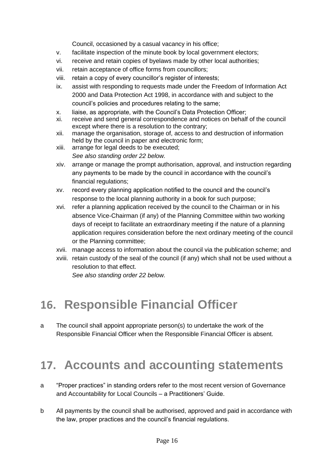Council, occasioned by a casual vacancy in his office;

- v. facilitate inspection of the minute book by local government electors;
- vi. receive and retain copies of byelaws made by other local authorities;
- vii. retain acceptance of office forms from councillors;
- viii. retain a copy of every councillor's register of interests;
- ix. assist with responding to requests made under the Freedom of Information Act 2000 and Data Protection Act 1998, in accordance with and subject to the council's policies and procedures relating to the same;
- x. liaise, as appropriate, with the Council's Data Protection Officer;
- xi. receive and send general correspondence and notices on behalf of the council except where there is a resolution to the contrary;
- xii. manage the organisation, storage of, access to and destruction of information held by the council in paper and electronic form;
- xiii. arrange for legal deeds to be executed; *See also standing order 22 below.*
- xiv. arrange or manage the prompt authorisation, approval, and instruction regarding any payments to be made by the council in accordance with the council's financial regulations;
- xv. record every planning application notified to the council and the council's response to the local planning authority in a book for such purpose;
- xvi. refer a planning application received by the council to the Chairman or in his absence Vice-Chairman (if any) of the Planning Committee within two working days of receipt to facilitate an extraordinary meeting if the nature of a planning application requires consideration before the next ordinary meeting of the council or the Planning committee;
- xvii. manage access to information about the council via the publication scheme; and
- xviii. retain custody of the seal of the council (if any) which shall not be used without a resolution to that effect.

*See also standing order 22 below.*

#### <span id="page-16-0"></span>**16. Responsible Financial Officer**

a The council shall appoint appropriate person(s) to undertake the work of the Responsible Financial Officer when the Responsible Financial Officer is absent.

#### <span id="page-16-1"></span>**17. Accounts and accounting statements**

- a "Proper practices" in standing orders refer to the most recent version of Governance and Accountability for Local Councils – a Practitioners' Guide.
- b All payments by the council shall be authorised, approved and paid in accordance with the law, proper practices and the council's financial regulations.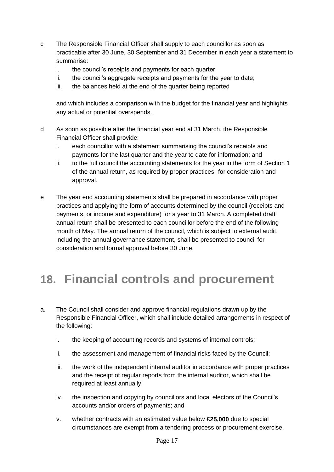- c The Responsible Financial Officer shall supply to each councillor as soon as practicable after 30 June, 30 September and 31 December in each year a statement to summarise:
	- i. the council's receipts and payments for each quarter;
	- ii. the council's aggregate receipts and payments for the year to date;
	- iii. the balances held at the end of the quarter being reported

and which includes a comparison with the budget for the financial year and highlights any actual or potential overspends.

- d As soon as possible after the financial year end at 31 March, the Responsible Financial Officer shall provide:
	- i. each councillor with a statement summarising the council's receipts and payments for the last quarter and the year to date for information; and
	- ii. to the full council the accounting statements for the year in the form of Section 1 of the annual return, as required by proper practices, for consideration and approval.
- e The year end accounting statements shall be prepared in accordance with proper practices and applying the form of accounts determined by the council (receipts and payments, or income and expenditure) for a year to 31 March. A completed draft annual return shall be presented to each councillor before the end of the following month of May. The annual return of the council, which is subject to external audit, including the annual governance statement, shall be presented to council for consideration and formal approval before 30 June.

#### <span id="page-17-0"></span>**18. Financial controls and procurement**

- a. The Council shall consider and approve financial regulations drawn up by the Responsible Financial Officer, which shall include detailed arrangements in respect of the following:
	- i. the keeping of accounting records and systems of internal controls;
	- ii. the assessment and management of financial risks faced by the Council;
	- iii. the work of the independent internal auditor in accordance with proper practices and the receipt of regular reports from the internal auditor, which shall be required at least annually;
	- iv. the inspection and copying by councillors and local electors of the Council's accounts and/or orders of payments; and
	- v. whether contracts with an estimated value below **£25,000** due to special circumstances are exempt from a tendering process or procurement exercise.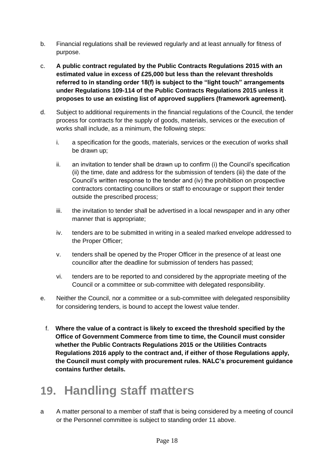- b. Financial regulations shall be reviewed regularly and at least annually for fitness of purpose.
- c. **A public contract regulated by the Public Contracts Regulations 2015 with an estimated value in excess of £25,000 but less than the relevant thresholds referred to in standing order 18(f) is subject to the "light touch" arrangements under Regulations 109-114 of the Public Contracts Regulations 2015 unless it proposes to use an existing list of approved suppliers (framework agreement).**
- d. Subject to additional requirements in the financial regulations of the Council, the tender process for contracts for the supply of goods, materials, services or the execution of works shall include, as a minimum, the following steps:
	- i. a specification for the goods, materials, services or the execution of works shall be drawn up;
	- ii. an invitation to tender shall be drawn up to confirm (i) the Council's specification (ii) the time, date and address for the submission of tenders (iii) the date of the Council's written response to the tender and (iv) the prohibition on prospective contractors contacting councillors or staff to encourage or support their tender outside the prescribed process;
	- iii. the invitation to tender shall be advertised in a local newspaper and in any other manner that is appropriate;
	- iv. tenders are to be submitted in writing in a sealed marked envelope addressed to the Proper Officer;
	- v. tenders shall be opened by the Proper Officer in the presence of at least one councillor after the deadline for submission of tenders has passed;
	- vi. tenders are to be reported to and considered by the appropriate meeting of the Council or a committee or sub-committee with delegated responsibility.
- e. Neither the Council, nor a committee or a sub-committee with delegated responsibility for considering tenders, is bound to accept the lowest value tender.
	- f. **Where the value of a contract is likely to exceed the threshold specified by the Office of Government Commerce from time to time, the Council must consider whether the Public Contracts Regulations 2015 or the Utilities Contracts Regulations 2016 apply to the contract and, if either of those Regulations apply, the Council must comply with procurement rules. NALC's procurement guidance contains further details.**

### <span id="page-18-0"></span>**19. Handling staff matters**

a A matter personal to a member of staff that is being considered by a meeting of council or the Personnel committee is subject to standing order 11 above.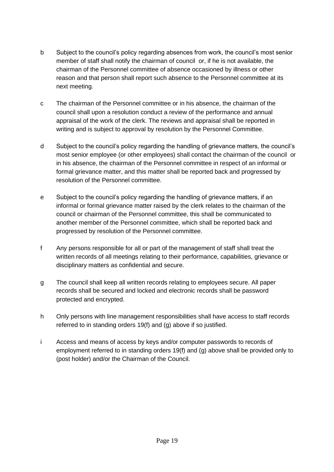- b Subject to the council's policy regarding absences from work, the council's most senior member of staff shall notify the chairman of council or, if he is not available, the chairman of the Personnel committee of absence occasioned by illness or other reason and that person shall report such absence to the Personnel committee at its next meeting.
- c The chairman of the Personnel committee or in his absence, the chairman of the council shall upon a resolution conduct a review of the performance and annual appraisal of the work of the clerk. The reviews and appraisal shall be reported in writing and is subject to approval by resolution by the Personnel Committee.
- d Subject to the council's policy regarding the handling of grievance matters, the council's most senior employee (or other employees) shall contact the chairman of the council or in his absence, the chairman of the Personnel committee in respect of an informal or formal grievance matter, and this matter shall be reported back and progressed by resolution of the Personnel committee.
- e Subject to the council's policy regarding the handling of grievance matters, if an informal or formal grievance matter raised by the clerk relates to the chairman of the council or chairman of the Personnel committee, this shall be communicated to another member of the Personnel committee, which shall be reported back and progressed by resolution of the Personnel committee.
- f Any persons responsible for all or part of the management of staff shall treat the written records of all meetings relating to their performance, capabilities, grievance or disciplinary matters as confidential and secure.
- g The council shall keep all written records relating to employees secure. All paper records shall be secured and locked and electronic records shall be password protected and encrypted.
- h Only persons with line management responsibilities shall have access to staff records referred to in standing orders 19(f) and (g) above if so justified.
- i Access and means of access by keys and/or computer passwords to records of employment referred to in standing orders 19(f) and (g) above shall be provided only to (post holder) and/or the Chairman of the Council.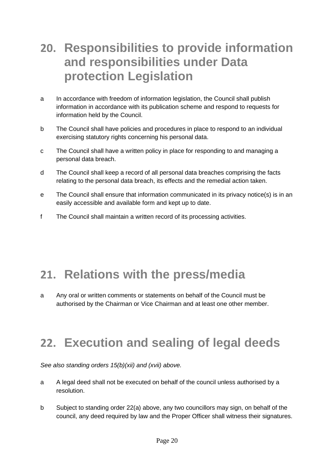### **20. Responsibilities to provide information and responsibilities under Data protection Legislation**

- a In accordance with freedom of information legislation, the Council shall publish information in accordance with its publication scheme and respond to requests for information held by the Council.
- b The Council shall have policies and procedures in place to respond to an individual exercising statutory rights concerning his personal data.
- c The Council shall have a written policy in place for responding to and managing a personal data breach.
- d The Council shall keep a record of all personal data breaches comprising the facts relating to the personal data breach, its effects and the remedial action taken.
- e The Council shall ensure that information communicated in its privacy notice(s) is in an easily accessible and available form and kept up to date.
- f The Council shall maintain a written record of its processing activities.

### <span id="page-20-0"></span>**21. Relations with the press/media**

a Any oral or written comments or statements on behalf of the Council must be authorised by the Chairman or Vice Chairman and at least one other member.

### <span id="page-20-1"></span>**22. Execution and sealing of legal deeds**

*See also standing orders 15(b)(xii) and (xvii) above.*

- a A legal deed shall not be executed on behalf of the council unless authorised by a resolution.
- b Subject to standing order 22(a) above, any two councillors may sign, on behalf of the council, any deed required by law and the Proper Officer shall witness their signatures.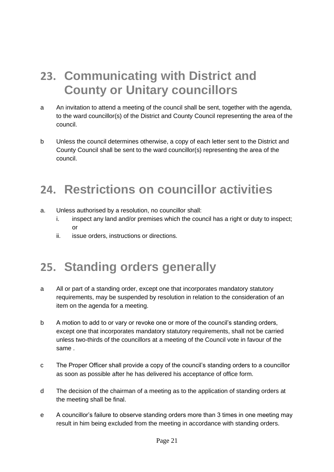### <span id="page-21-0"></span>**23. Communicating with District and County or Unitary councillors**

- a An invitation to attend a meeting of the council shall be sent, together with the agenda, to the ward councillor(s) of the District and County Council representing the area of the council.
- b Unless the council determines otherwise, a copy of each letter sent to the District and County Council shall be sent to the ward councillor(s) representing the area of the council.

#### <span id="page-21-1"></span>**24. Restrictions on councillor activities**

- a. Unless authorised by a resolution, no councillor shall:
	- i. inspect any land and/or premises which the council has a right or duty to inspect;  $\alpha$ r
	- ii. issue orders, instructions or directions.

### <span id="page-21-2"></span>**25. Standing orders generally**

- a All or part of a standing order, except one that incorporates mandatory statutory requirements, may be suspended by resolution in relation to the consideration of an item on the agenda for a meeting.
- b A motion to add to or vary or revoke one or more of the council's standing orders, except one that incorporates mandatory statutory requirements, shall not be carried unless two-thirds of the councillors at a meeting of the Council vote in favour of the same .
- c The Proper Officer shall provide a copy of the council's standing orders to a councillor as soon as possible after he has delivered his acceptance of office form.
- d The decision of the chairman of a meeting as to the application of standing orders at the meeting shall be final.
- e A councillor's failure to observe standing orders more than 3 times in one meeting may result in him being excluded from the meeting in accordance with standing orders.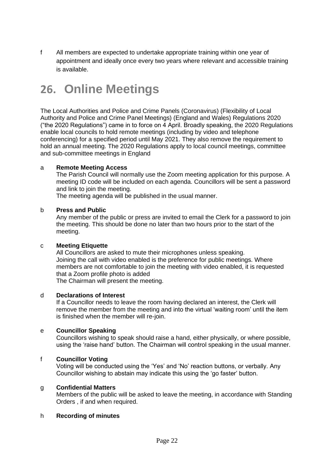f All members are expected to undertake appropriate training within one year of appointment and ideally once every two years where relevant and accessible training is available.

### **26. Online Meetings**

The Local Authorities and Police and Crime Panels (Coronavirus) (Flexibility of Local Authority and Police and Crime Panel Meetings) (England and Wales) Regulations 2020 ("the 2020 Regulations") came in to force on 4 April. Broadly speaking, the 2020 Regulations enable local councils to hold remote meetings (including by video and telephone conferencing) for a specified period until May 2021. They also remove the requirement to hold an annual meeting. The 2020 Regulations apply to local council meetings, committee and sub-committee meetings in England

#### a **Remote Meeting Access**

The Parish Council will normally use the Zoom meeting application for this purpose. A meeting ID code will be included on each agenda. Councillors will be sent a password and link to join the meeting.

The meeting agenda will be published in the usual manner.

#### b **Press and Public**

Any member of the public or press are invited to email the Clerk for a password to join the meeting. This should be done no later than two hours prior to the start of the meeting.

#### c **Meeting Etiquette**

All Councillors are asked to mute their microphones unless speaking. Joining the call with video enabled is the preference for public meetings. Where members are not comfortable to join the meeting with video enabled, it is requested that a Zoom profile photo is added

The Chairman will present the meeting.

#### d **Declarations of Interest**

If a Councillor needs to leave the room having declared an interest, the Clerk will remove the member from the meeting and into the virtual 'waiting room' until the item is finished when the member will re-join.

#### e **Councillor Speaking**

Councillors wishing to speak should raise a hand, either physically, or where possible, using the 'raise hand' button. The Chairman will control speaking in the usual manner.

#### f **Councillor Voting**

Voting will be conducted using the 'Yes' and 'No' reaction buttons, or verbally. Any Councillor wishing to abstain may indicate this using the 'go faster' button.

#### g **Confidential Matters**

Members of the public will be asked to leave the meeting, in accordance with Standing Orders , if and when required.

#### h **Recording of minutes**